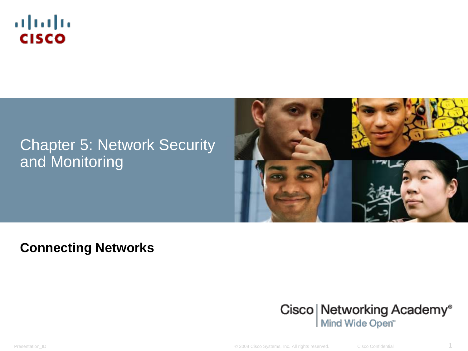

#### Chapter 5: Network Security and Monitoring



#### **Connecting Networks**



Presentation\_ID © 2008 Cisco Systems, Inc. All rights reserved. Cisco Confidential 1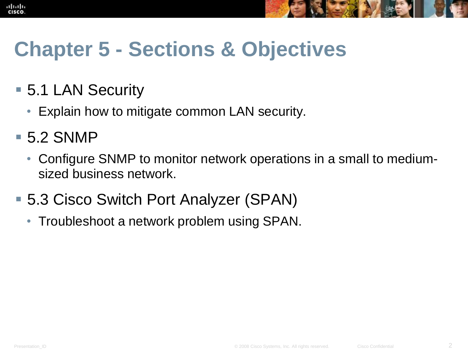



## **Chapter 5 - Sections & Objectives**

- 5.1 LAN Security
	- Explain how to mitigate common LAN security.
- 5.2 SNMP
	- Configure SNMP to monitor network operations in a small to mediumsized business network.
- 5.3 Cisco Switch Port Analyzer (SPAN)
	- Troubleshoot a network problem using SPAN.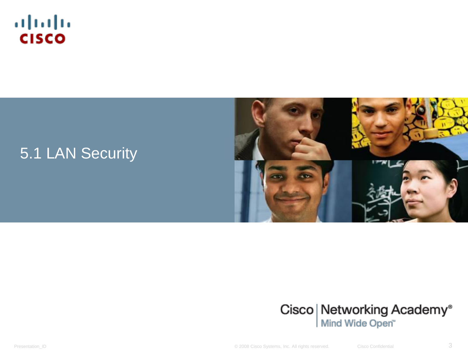

#### 5.1 LAN Security





Presentation\_ID **Example 2008** Cisco Systems, Inc. All rights reserved. Cisco Confidential Cisco Confidential 3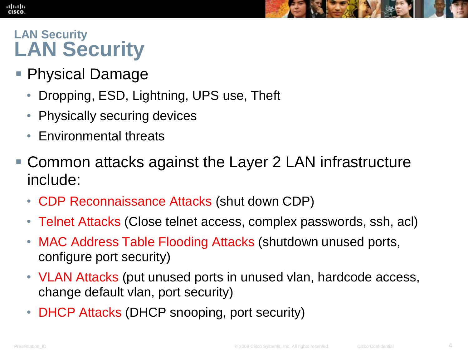#### **LAN Security LAN Security**

altah **CISCO** 

- Physical Damage
	- Dropping, ESD, Lightning, UPS use, Theft
	- Physically securing devices
	- Environmental threats
- Common attacks against the Layer 2 LAN infrastructure include:
	- CDP Reconnaissance Attacks (shut down CDP)
	- Telnet Attacks (Close telnet access, complex passwords, ssh, acl)
	- MAC Address Table Flooding Attacks (shutdown unused ports, configure port security)
	- VLAN Attacks (put unused ports in unused vlan, hardcode access, change default vlan, port security)
	- **DHCP Attacks (DHCP snooping, port security)**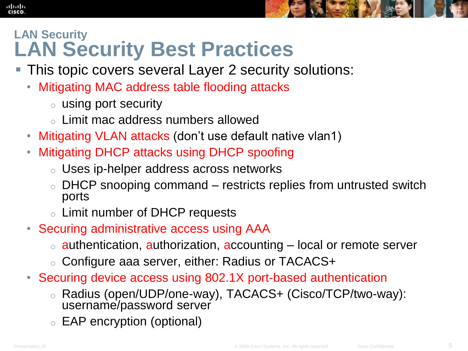#### **LAN Security LAN Security Best Practices**

- This topic covers several Layer 2 security solutions:
	- Mitigating MAC address table flooding attacks
		- o using port security
		- o Limit mac address numbers allowed
	- Mitigating VLAN attacks (don't use default native vlan1)
	- Mitigating DHCP attacks using DHCP spoofing
		- o Uses ip-helper address across networks
		- DHCP snooping command restricts replies from untrusted switch ports
		- o Limit number of DHCP requests
	- Securing administrative access using AAA
		- $\circ$  authentication, authorization, accounting  $-$  local or remote server
		- o Configure aaa server, either: Radius or TACACS+
	- Securing device access using 802.1X port-based authentication
		- Radius (open/UDP/one-way), TACACS+ (Cisco/TCP/two-way): username/password server
		- EAP encryption (optional)

alba ta CISCO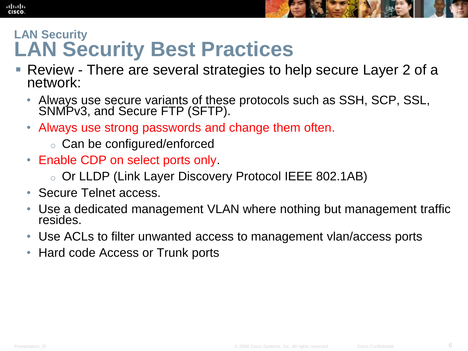

#### **LAN Security LAN Security Best Practices**

- Review There are several strategies to help secure Layer 2 of a network:
	- Always use secure variants of these protocols such as SSH, SCP, SSL, SNMPv3, and Secure FTP (SFTP).
	- Always use strong passwords and change them often.
		- o Can be configured/enforced
	- Enable CDP on select ports only.
		- o Or LLDP (Link Layer Discovery Protocol IEEE 802.1AB)
	- Secure Telnet access.
	- Use a dedicated management VLAN where nothing but management traffic resides.
	- Use ACLs to filter unwanted access to management vlan/access ports
	- Hard code Access or Trunk ports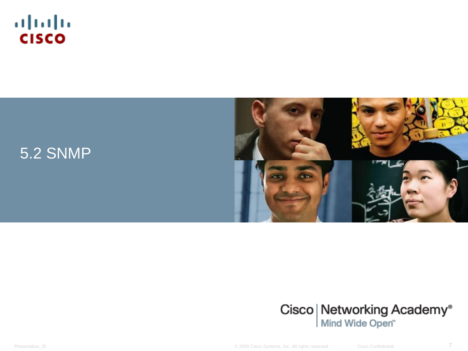







Presentation\_ID **Example 2008** Cisco Systems, Inc. All rights reserved. Cisco Confidential Cisco Confidential 7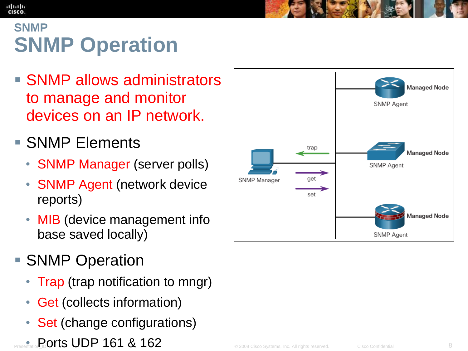#### ahah CISCO

#### **SNMP SNMP Operation**

- **SNMP allows administrators** to manage and monitor devices on an IP network.
- **SNMP** Elements
	- **SNMP Manager (server polls)**
	- SNMP Agent (network device reports)
	- MIB (device management info base saved locally)
- **SNMP Operation** 
	- Trap (trap notification to mngr)
	- Get (collects information)
	- Set (change configurations)
- Presentation\_ID © 2008 Cisco Systems, Inc. All rights reserved. Cisco Confidential 8 Ports UDP 161 & 162

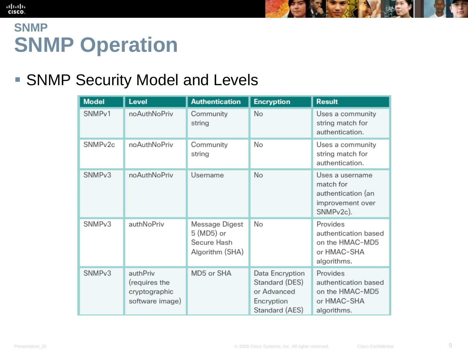#### **SNMP SNMP Operation**

#### ■ SNMP Security Model and Levels

| <b>Model</b>        | <b>Level</b>                                                  | <b>Authentication</b>                                          | <b>Encryption</b>                                                                | <b>Result</b>                                                                                    |
|---------------------|---------------------------------------------------------------|----------------------------------------------------------------|----------------------------------------------------------------------------------|--------------------------------------------------------------------------------------------------|
| SNMP <sub>v1</sub>  | noAuthNoPriv                                                  | Community<br>string                                            | No                                                                               | Uses a community<br>string match for<br>authentication.                                          |
| SNMP <sub>v2c</sub> | noAuthNoPriv                                                  | Community<br>string                                            | No                                                                               | Uses a community<br>string match for<br>authentication.                                          |
| SNMP <sub>v3</sub>  | noAuthNoPriv                                                  | Username                                                       | No                                                                               | Uses a username<br>match for<br>authentication (an<br>improvement over<br>SNMP <sub>v2c</sub> ). |
| SNMP <sub>v3</sub>  | authNoPriv                                                    | Message Digest<br>5 (MD5) or<br>Secure Hash<br>Algorithm (SHA) | No                                                                               | Provides<br>authentication based<br>on the HMAC-MD5<br>or HMAC-SHA<br>algorithms.                |
| SNMP <sub>v3</sub>  | authPriv<br>(requires the<br>cryptographic<br>software image) | MD5 or SHA                                                     | Data Encryption<br>Standard (DES)<br>or Advanced<br>Encryption<br>Standard (AES) | Provides<br>authentication based<br>on the HMAC-MD5<br>or HMAC-SHA<br>algorithms.                |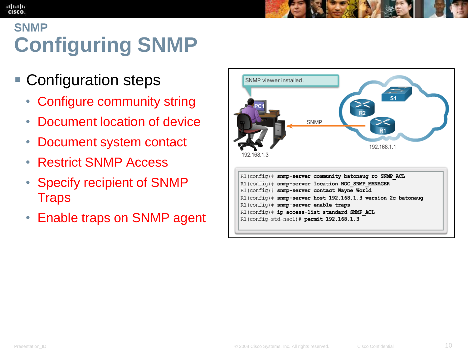## **SNMP Configuring SNMP**

- **Configuration steps** 
	- Configure community string
	- Document location of device
	- Document system contact
	- Restrict SNMP Access
	- Specify recipient of SNMP **Traps**
	- Enable traps on SNMP agent



altah **CISCO**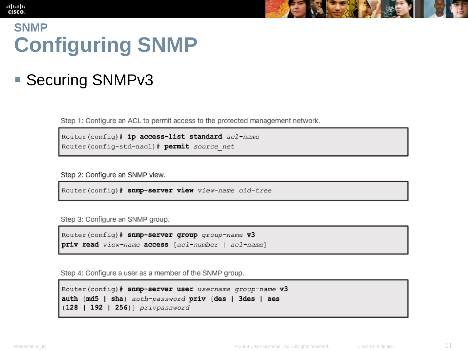#### diah **CISCO**

#### **SNMP Configuring SNMP**

#### ■ Securing SNMPv3

Step 1: Configure an ACL to permit access to the protected management network.

Router (config) # ip access-list standard acl-name Router (config-std-nacl) # permit source net

Step 2: Configure an SNMP view.

Router (config) # snmp-server view view-name oid-tree

Step 3: Configure an SNMP group.

Router (config) # snmp-server group group-name v3 priv read view-name access [acl-number | acl-name]

Step 4: Configure a user as a member of the SNMP group.

```
Router (config) # snmp-server user username group-name v3
auth {md5 | sha} auth-password priv {des | 3des | aes
{128 | 192 | 256} privpassword
```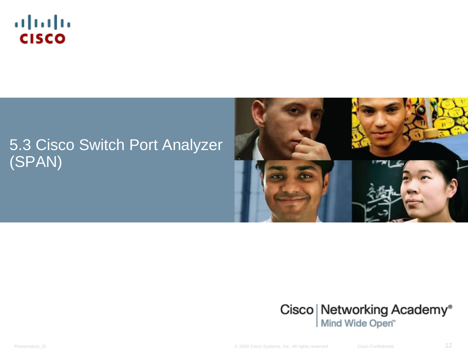

#### 5.3 Cisco Switch Port Analyzer (SPAN)





Presentation\_ID **Example 2008** Cisco Systems, Inc. All rights reserved. Cisco Confidential Cisco Confidential 12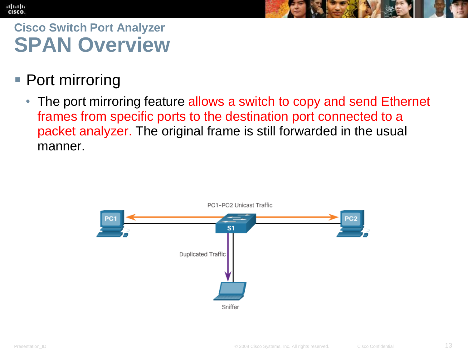## **Cisco Switch Port Analyzer SPAN Overview**

■ Port mirroring

altalia **CISCO** 

> • The port mirroring feature allows a switch to copy and send Ethernet frames from specific ports to the destination port connected to a packet analyzer. The original frame is still forwarded in the usual manner.

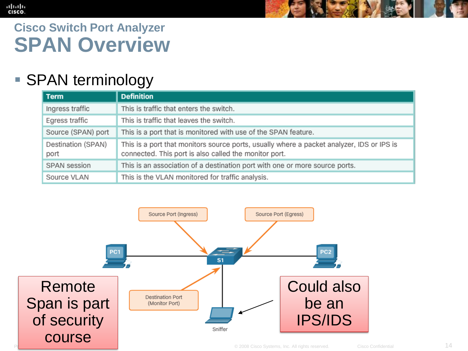#### aludo<br>cisco.

#### **Cisco Switch Port Analyzer SPAN Overview**

#### ■ SPAN terminology

| <b>Term</b>                | <b>Definition</b>                                                                                                                                  |
|----------------------------|----------------------------------------------------------------------------------------------------------------------------------------------------|
| Ingress traffic            | This is traffic that enters the switch.                                                                                                            |
| Egress traffic             | This is traffic that leaves the switch.                                                                                                            |
| Source (SPAN) port         | This is a port that is monitored with use of the SPAN feature.                                                                                     |
| Destination (SPAN)<br>port | This is a port that monitors source ports, usually where a packet analyzer, IDS or IPS is<br>connected. This port is also called the monitor port. |
| SPAN session               | This is an association of a destination port with one or more source ports.                                                                        |
| Source VLAN                | This is the VLAN monitored for traffic analysis.                                                                                                   |

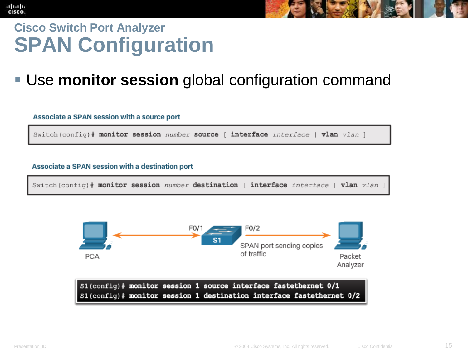#### ahah **CISCO Cisco Switch Port Analyzer SPAN Configuration**

#### Use **monitor session** global configuration command

#### Associate a SPAN session with a source port

Switch (config) # monitor session number source [ interface interface | vlan vlan ]

#### Associate a SPAN session with a destination port

Switch (config)# monitor session number destination [ interface interface | vlan vlan ]

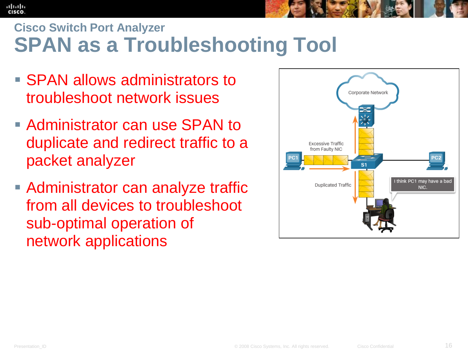### **Cisco Switch Port Analyzer SPAN as a Troubleshooting Tool**

- SPAN allows administrators to troubleshoot network issues
- Administrator can use SPAN to duplicate and redirect traffic to a packet analyzer
- **Administrator can analyze traffic** from all devices to troubleshoot sub-optimal operation of network applications



ahah **CISCO**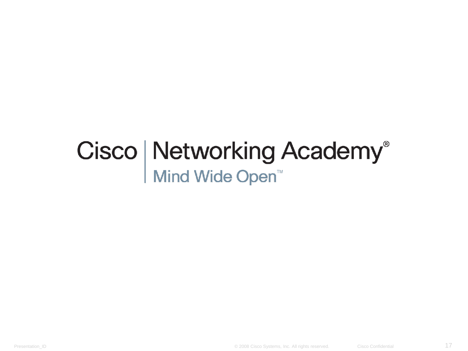# Cisco | Networking Academy<sup>®</sup><br>Mind Wide Open<sup>™</sup>